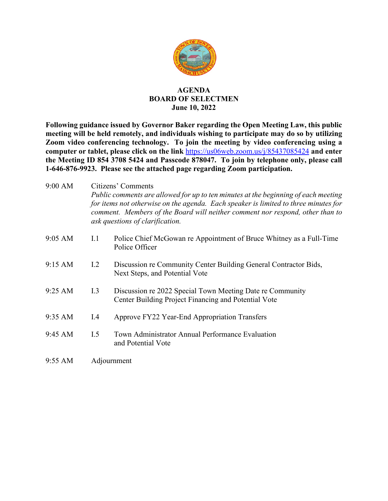

## **AGENDA BOARD OF SELECTMEN June 10, 2022**

**Following guidance issued by Governor Baker regarding the Open Meeting Law, this public meeting will be held remotely, and individuals wishing to participate may do so by utilizing Zoom video conferencing technology. To join the meeting by video conferencing using a computer or tablet, please click on the link** <https://us06web.zoom.us/j/85437085424> **and enter the Meeting ID 854 3708 5424 and Passcode 878047. To join by telephone only, please call 1-646-876-9923. Please see the attached page regarding Zoom participation.**

| 9:00 AM | Citizens' Comments<br>Public comments are allowed for up to ten minutes at the beginning of each meeting<br>for items not otherwise on the agenda. Each speaker is limited to three minutes for<br>comment. Members of the Board will neither comment nor respond, other than to<br>ask questions of clarification. |                                                                                                                   |
|---------|---------------------------------------------------------------------------------------------------------------------------------------------------------------------------------------------------------------------------------------------------------------------------------------------------------------------|-------------------------------------------------------------------------------------------------------------------|
| 9:05 AM | I.1                                                                                                                                                                                                                                                                                                                 | Police Chief McGowan re Appointment of Bruce Whitney as a Full-Time<br>Police Officer                             |
| 9:15 AM | 1.2                                                                                                                                                                                                                                                                                                                 | Discussion re Community Center Building General Contractor Bids,<br>Next Steps, and Potential Vote                |
| 9:25 AM | I.3                                                                                                                                                                                                                                                                                                                 | Discussion re 2022 Special Town Meeting Date re Community<br>Center Building Project Financing and Potential Vote |
| 9:35 AM | I.4                                                                                                                                                                                                                                                                                                                 | Approve FY22 Year-End Appropriation Transfers                                                                     |
| 9:45 AM | I.5                                                                                                                                                                                                                                                                                                                 | Town Administrator Annual Performance Evaluation<br>and Potential Vote                                            |
| 9:55 AM | Adjournment                                                                                                                                                                                                                                                                                                         |                                                                                                                   |